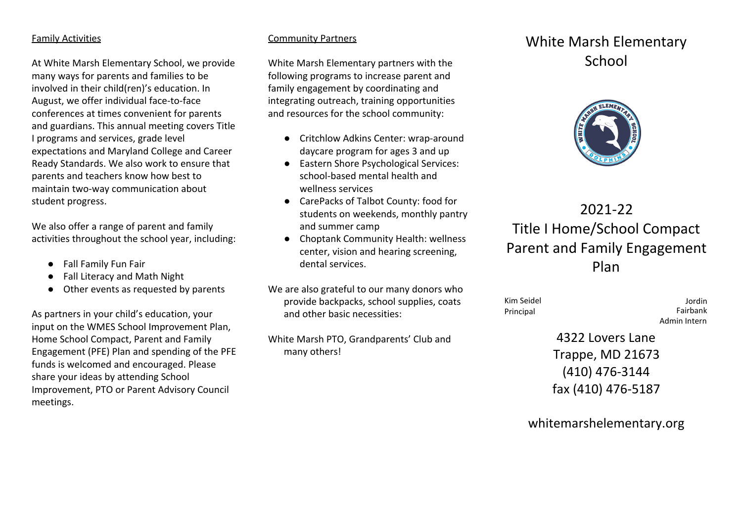#### Family Activities

At White Marsh Elementary School, we provide many ways for parents and families to be involved in their child(ren)'s education. In August, we offer individual face-to-face conferences at times convenient for parents and guardians. This annual meeting covers Title I programs and services, grade level expectations and Maryland College and Career Ready Standards. We also work to ensure that parents and teachers know how best to maintain two-way communication about student progress.

We also offer a range of parent and family activities throughout the school year, including:

- Fall Family Fun Fair
- Fall Literacy and Math Night
- Other events as requested by parents

As partners in your child's education, your input on the WMES School Improvement Plan, Home School Compact, Parent and Family Engagement (PFE) Plan and spending of the PFE funds is welcomed and encouraged. Please share your ideas by attending School Improvement, PTO or Parent Advisory Council meetings.

#### Community Partners

White Marsh Elementary partners with the following programs to increase parent and family engagement by coordinating and integrating outreach, training opportunities and resources for the school community:

- Critchlow Adkins Center: wrap-around daycare program for ages 3 and up
- Eastern Shore Psychological Services: school-based mental health and wellness services
- CarePacks of Talbot County: food for students on weekends, monthly pantry and summer camp
- Choptank Community Health: wellness center, vision and hearing screening, dental services.

We are also grateful to our many donors who provide backpacks, school supplies, coats and other basic necessities:

White Marsh PTO, Grandparents' Club and many others!

## White Marsh Elementary School



# 2021-22 Title I Home/School Compact Parent and Family Engagement Plan

Kim Seidel Principal

Jordin Fairbank Admin Intern

4322 Lovers Lane Trappe, MD 21673 (410) 476-3144 fax (410) 476-5187

whitemarshelementary.org